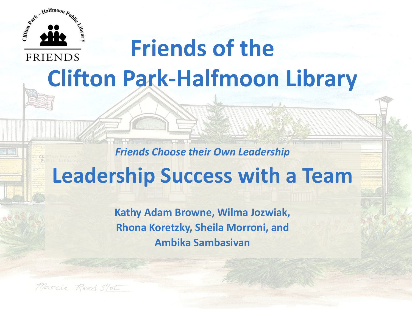

#### **Friends of the FRIENDS Clifton Park-Halfmoon Library**

#### *Friends Choose their Own Leadership*

### **Leadership Success with a Team**

**Kathy Adam Browne, Wilma Jozwiak, Rhona Koretzky, Sheila Morroni, and Ambika Sambasivan**

Marcie Reed Slot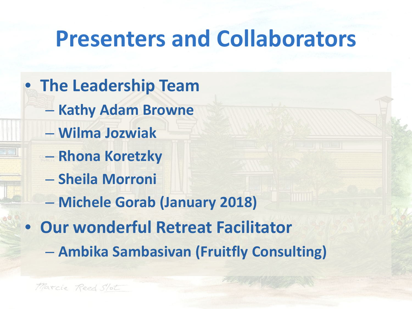## **Presenters and Collaborators**

- **The Leadership Team**
	- **Kathy Adam Browne**
	- **Wilma Jozwiak**
	- **Rhona Koretzky**
	- **Sheila Morroni**
	- **Michele Gorab (January 2018)**
- **Our wonderful Retreat Facilitator**
	- **Ambika Sambasivan (Fruitfly Consulting)**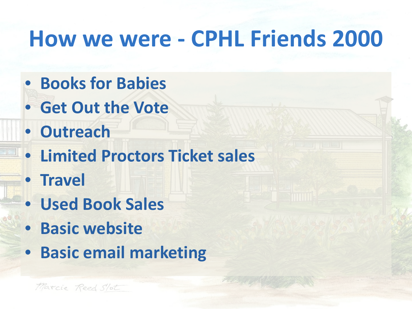## **How we were - CPHL Friends 2000**

- **Books for Babies**
- **Get Out the Vote**
- **Outreach**
- **Limited Proctors Ticket sales**
- **Travel**
- **Used Book Sales**
- **Basic website**
- **Basic email marketing**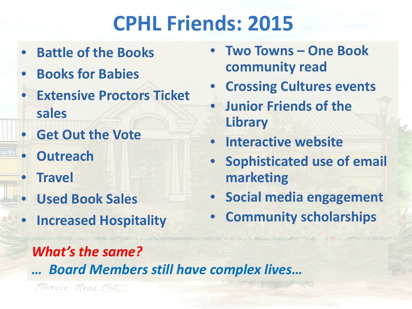## **CPHL Friends: 2015**

- **Battle of the Books**
- **Books for Babies**
- **Extensive Proctors Ticket sales**
- **Get Out the Vote**
- **Outreach**
- **Travel**
- **Used Book Sales**
- **Increased Hospitality**
- **Two Towns – One Book community read**
- **Crossing Cultures events**
- **Junior Friends of the Library**
- **Interactive website**
- **Sophisticated use of email marketing**
- **Social media engagement**
- **Community scholarships**

#### *What's the same?*

*… Board Members still have complex lives…*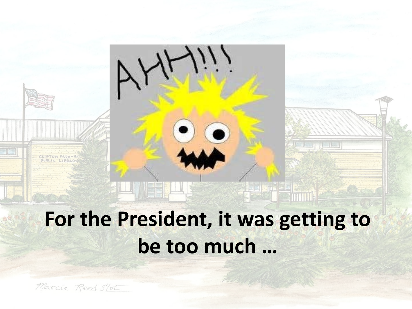## **For the President, it was getting to be too much …**

<u> Participation de la proprieta de la p</u>

Marcie Reed Slot

CLIPTON PARK-HA PUBLIC LIBRARY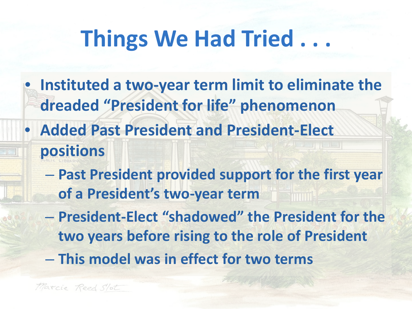## **Things We Had Tried . . .**

- **Instituted a two-year term limit to eliminate the dreaded "President for life" phenomenon**
- **Added Past President and President-Elect positions**
	- **Past President provided support for the first year of a President's two-year term**
	- **President-Elect "shadowed" the President for the two years before rising to the role of President**
	- **This model was in effect for two terms**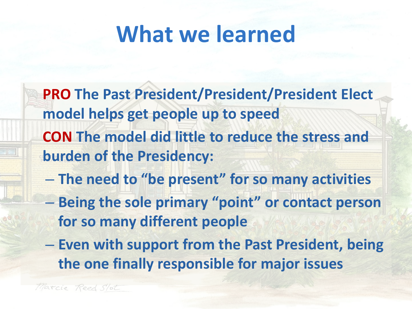## **What we learned**

- **PRO The Past President/President/President Elect model helps get people up to speed CON The model did little to reduce the stress and burden of the Presidency:**
- **The need to "be present" for so many activities**
- **Being the sole primary "point" or contact person for so many different people**
- **Even with support from the Past President, being the one finally responsible for major issues**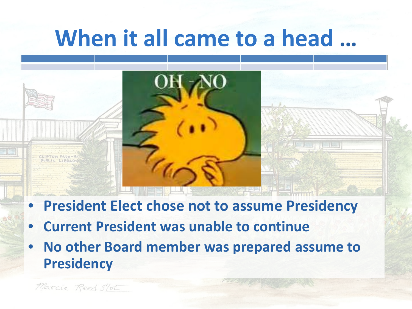### **When it all came to a head …**



- **President Elect chose not to assume Presidency**
- **Current President was unable to continue**
- **No other Board member was prepared assume to Presidency**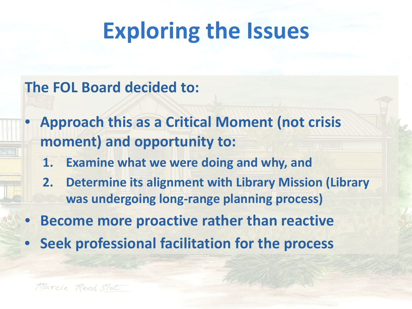## **Exploring the Issues**

#### **The FOL Board decided to:**

- **Approach this as a Critical Moment (not crisis moment) and opportunity to:** 
	- **1. Examine what we were doing and why, and**
	- **2. Determine its alignment with Library Mission (Library was undergoing long-range planning process)**
- **Become more proactive rather than reactive**
- **Seek professional facilitation for the process**

Marcie Reed Slot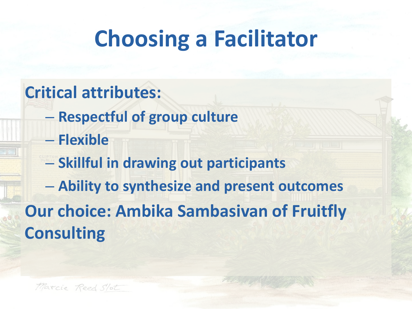## **Choosing a Facilitator**

#### **Critical attributes:**

- **Respectful of group culture**
- **Flexible**
- **Skillful in drawing out participants**
- **Ability to synthesize and present outcomes**

#### **Our choice: Ambika Sambasivan of Fruitfly Consulting**

Marcie Reed Slot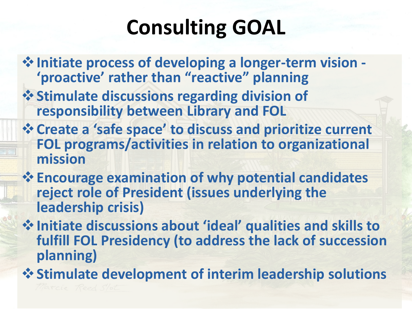## **Consulting GOAL**

- **Initiate process of developing a longer-term vision - 'proactive' rather than "reactive" planning**
- *<u><b>* ◆ Stimulate discussions regarding division of</u> **responsibility between Library and FOL**
- **Create a 'safe space' to discuss and prioritize current FOL programs/activities in relation to organizational mission**
- **Encourage examination of why potential candidates reject role of President (issues underlying the leadership crisis)**
- **Initiate discussions about 'ideal' qualities and skills to fulfill FOL Presidency (to address the lack of succession planning)**

**Stimulate development of interim leadership solutions**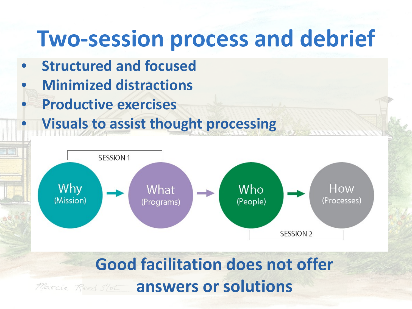### **Two-session process and debrief**

- **Structured and focused**
- **Minimized distractions**
- **Productive exercises**
	- **Visuals to assist thought processing**



#### **Good facilitation does not offer**  *Marcie Reed Slot answers or solutions*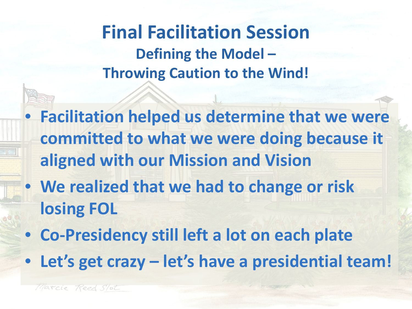**Final Facilitation Session Defining the Model – Throwing Caution to the Wind!**

• **Facilitation helped us determine that we were committed to what we were doing because it aligned with our Mission and Vision**

- **We realized that we had to change or risk losing FOL**
- **Co-Presidency still left a lot on each plate**
- **Let's get crazy – let's have a presidential team!**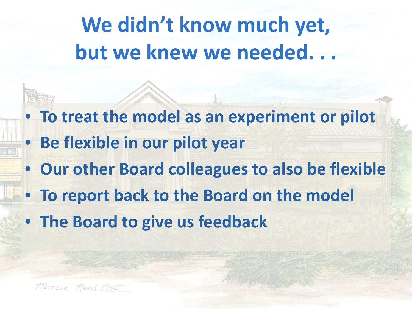## **We didn't know much yet, but we knew we needed. . .**

- **To treat the model as an experiment or pilot** • **Be flexible in our pilot year**
- **Our other Board colleagues to also be flexible**
- **To report back to the Board on the model**
- **The Board to give us feedback**

Marcie Reed Slot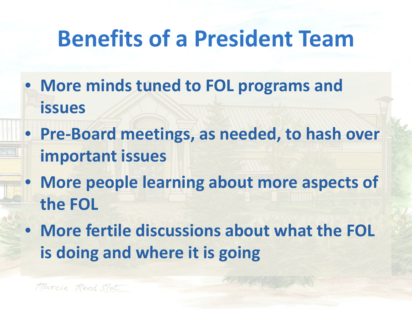## **Benefits of a President Team**

- **More minds tuned to FOL programs and issues**
- **Pre-Board meetings, as needed, to hash over important issues**
- **More people learning about more aspects of the FOL**
- **More fertile discussions about what the FOL is doing and where it is going**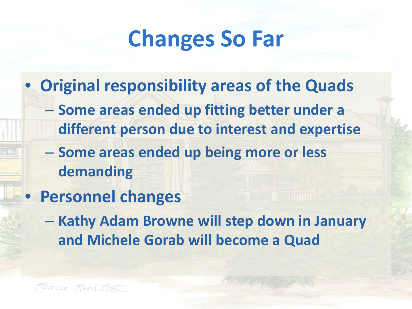## **Changes So Far**

- **Original responsibility areas of the Quads** – **Some areas ended up fitting better under a different person due to interest and expertise**
	- **Some areas ended up being more or less demanding**
- **Personnel changes**
	- **Kathy Adam Browne will step down in January and Michele Gorab will become a Quad**

Marcie Reed Slot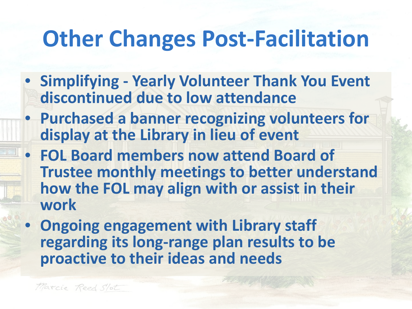## **Other Changes Post-Facilitation**

- **Simplifying - Yearly Volunteer Thank You Event discontinued due to low attendance**
- **Purchased a banner recognizing volunteers for display at the Library in lieu of event**
- **FOL Board members now attend Board of Trustee monthly meetings to better understand how the FOL may align with or assist in their work**
- **Ongoing engagement with Library staff regarding its long-range plan results to be proactive to their ideas and needs**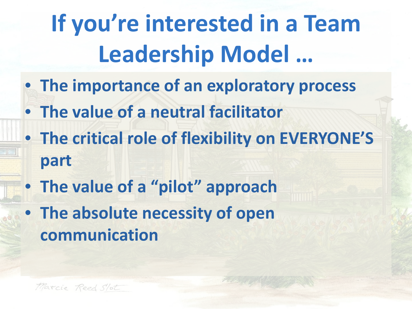# **If you're interested in a Team Leadership Model …**

- **The importance of an exploratory process**
- **The value of a neutral facilitator**
- **The critical role of flexibility on EVERYONE'S part**
- **The value of a "pilot" approach**
- **The absolute necessity of open communication**

Marcie Reed Slot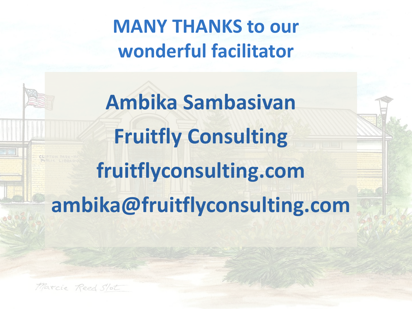**MANY THANKS to our wonderful facilitator**

**Ambika Sambasivan Fruitfly Consulting fruitflyconsulting.com ambika@fruitflyconsulting.com**

Marcie Reed Slot